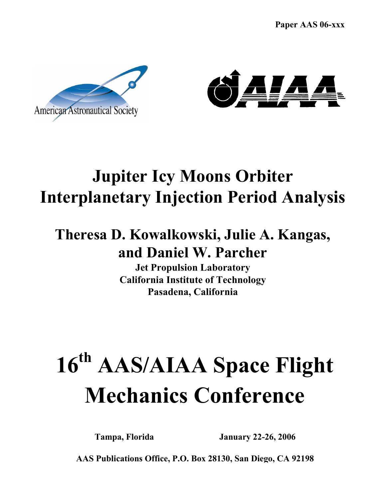Paper AAS 06-xxx





# Jupiter Icy Moons Orbiter Interplanetary Injection Period Analysis

## Theresa D. Kowalkowski, Julie A. Kangas, and Daniel W. Parcher

Jet Propulsion Laboratory California Institute of Technology Pasadena, California

# 16<sup>th</sup> AAS/AIAA Space Flight Mechanics Conference

Tampa, Florida January 22-26, 2006

AAS Publications Office, P.O. Box 28130, San Diego, CA 92198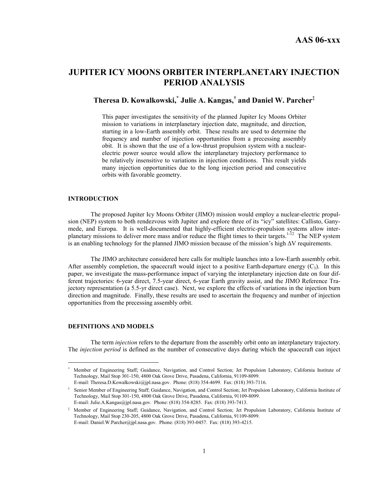## JUPITER ICY MOONS ORBITER INTERPLANETARY INJECTION PERIOD ANALYSIS

### Theresa D. Kowalkowski,<sup>\*</sup> Julie A. Kangas,<sup>†</sup> and Daniel W. Parcher<sup>‡</sup>

This paper investigates the sensitivity of the planned Jupiter Icy Moons Orbiter mission to variations in interplanetary injection date, magnitude, and direction, starting in a low-Earth assembly orbit. These results are used to determine the frequency and number of injection opportunities from a precessing assembly obit. It is shown that the use of a low-thrust propulsion system with a nuclearelectric power source would allow the interplanetary trajectory performance to be relatively insensitive to variations in injection conditions. This result yields many injection opportunities due to the long injection period and consecutive orbits with favorable geometry.

#### INTRODUCTION

The proposed Jupiter Icy Moons Orbiter (JIMO) mission would employ a nuclear-electric propulsion (NEP) system to both rendezvous with Jupiter and explore three of its "icy" satellites: Callisto, Ganymede, and Europa. It is well-documented that highly-efficient electric-propulsion systems allow interplanetary missions to deliver more mass and/or reduce the flight times to their targets.<sup>1-12</sup> The NEP system is an enabling technology for the planned JIMO mission because of the mission's high ∆V requirements.

The JIMO architecture considered here calls for multiple launches into a low-Earth assembly orbit. After assembly completion, the spacecraft would inject to a positive Earth-departure energy  $(C_3)$ . In this paper, we investigate the mass-performance impact of varying the interplanetary injection date on four different trajectories: 6-year direct, 7.5-year direct, 6-year Earth gravity assist, and the JIMO Reference Trajectory representation (a 5.5-yr direct case). Next, we explore the effects of variations in the injection burn direction and magnitude. Finally, these results are used to ascertain the frequency and number of injection opportunities from the precessing assembly orbit.

#### DEFINITIONS AND MODELS

l

The term injection refers to the departure from the assembly orbit onto an interplanetary trajectory. The injection period is defined as the number of consecutive days during which the spacecraft can inject

<sup>\*</sup> Member of Engineering Staff; Guidance, Navigation, and Control Section; Jet Propulsion Laboratory, California Institute of Technology, Mail Stop 301-150, 4800 Oak Grove Drive, Pasadena, California, 91109-8099. E-mail: Theresa.D.Kowalkowski@jpl.nasa.gov. Phone: (818) 354-4699. Fax: (818) 393-7116.

<sup>†</sup> Senior Member of Engineering Staff; Guidance, Navigation, and Control Section; Jet Propulsion Laboratory, California Institute of Technology, Mail Stop 301-150, 4800 Oak Grove Drive, Pasadena, California, 91109-8099. E-mail: Julie.A.Kangas@jpl.nasa.gov. Phone: (818) 354-8285. Fax: (818) 393-7413.

<sup>‡</sup> Member of Engineering Staff; Guidance, Navigation, and Control Section; Jet Propulsion Laboratory, California Institute of Technology, Mail Stop 230-205, 4800 Oak Grove Drive, Pasadena, California, 91109-8099. E-mail: Daniel.W.Parcher@jpl.nasa.gov. Phone: (818) 393-0457. Fax: (818) 393-4215.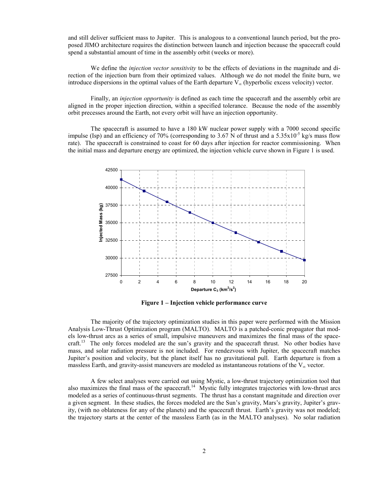and still deliver sufficient mass to Jupiter. This is analogous to a conventional launch period, but the proposed JIMO architecture requires the distinction between launch and injection because the spacecraft could spend a substantial amount of time in the assembly orbit (weeks or more).

We define the *injection vector sensitivity* to be the effects of deviations in the magnitude and direction of the injection burn from their optimized values. Although we do not model the finite burn, we introduce dispersions in the optimal values of the Earth departure  $V_{\infty}$  (hyperbolic excess velocity) vector.

Finally, an *injection opportunity* is defined as each time the spacecraft and the assembly orbit are aligned in the proper injection direction, within a specified tolerance. Because the node of the assembly orbit precesses around the Earth, not every orbit will have an injection opportunity.

The spacecraft is assumed to have a 180 kW nuclear power supply with a 7000 second specific impulse (Isp) and an efficiency of 70% (corresponding to 3.67 N of thrust and a 5.35x10<sup>-5</sup> kg/s mass flow rate). The spacecraft is constrained to coast for 60 days after injection for reactor commissioning. When the initial mass and departure energy are optimized, the injection vehicle curve shown in Figure 1 is used.



Figure 1 – Injection vehicle performance curve

The majority of the trajectory optimization studies in this paper were performed with the Mission Analysis Low-Thrust Optimization program (MALTO). MALTO is a patched-conic propagator that models low-thrust arcs as a series of small, impulsive maneuvers and maximizes the final mass of the spacecraft.<sup>13</sup> The only forces modeled are the sun's gravity and the spacecraft thrust. No other bodies have mass, and solar radiation pressure is not included. For rendezvous with Jupiter, the spacecraft matches Jupiter's position and velocity, but the planet itself has no gravitational pull. Earth departure is from a massless Earth, and gravity-assist maneuvers are modeled as instantaneous rotations of the  $V_{\infty}$  vector.

A few select analyses were carried out using Mystic, a low-thrust trajectory optimization tool that also maximizes the final mass of the spacecraft.<sup>14</sup> Mystic fully integrates trajectories with low-thrust arcs modeled as a series of continuous-thrust segments. The thrust has a constant magnitude and direction over a given segment. In these studies, the forces modeled are the Sun's gravity, Mars's gravity, Jupiter's gravity, (with no oblateness for any of the planets) and the spacecraft thrust. Earth's gravity was not modeled; the trajectory starts at the center of the massless Earth (as in the MALTO analyses). No solar radiation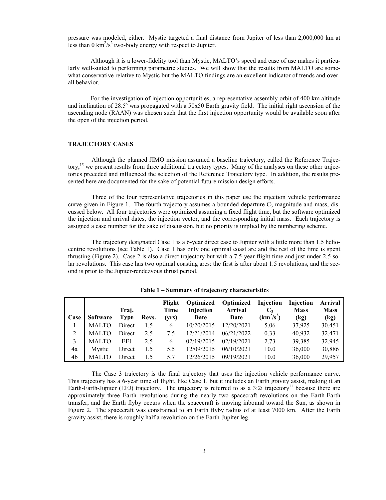pressure was modeled, either. Mystic targeted a final distance from Jupiter of less than 2,000,000 km at less than  $0 \text{ km}^2/\text{s}^2$  two-body energy with respect to Jupiter.

Although it is a lower-fidelity tool than Mystic, MALTO's speed and ease of use makes it particularly well-suited to performing parametric studies. We will show that the results from MALTO are somewhat conservative relative to Mystic but the MALTO findings are an excellent indicator of trends and overall behavior.

For the investigation of injection opportunities, a representative assembly orbit of 400 km altitude and inclination of 28.5º was propagated with a 50x50 Earth gravity field. The initial right ascension of the ascending node (RAAN) was chosen such that the first injection opportunity would be available soon after the open of the injection period.

#### TRAJECTORY CASES

Although the planned JIMO mission assumed a baseline trajectory, called the Reference Trajectory,<sup>15</sup> we present results from three additional trajectory types. Many of the analyses on these other trajectories preceded and influenced the selection of the Reference Trajectory type. In addition, the results presented here are documented for the sake of potential future mission design efforts.

Three of the four representative trajectories in this paper use the injection vehicle performance curve given in Figure 1. The fourth trajectory assumes a bounded departure  $C_3$  magnitude and mass, discussed below. All four trajectories were optimized assuming a fixed flight time, but the software optimized the injection and arrival dates, the injection vector, and the corresponding initial mass. Each trajectory is assigned a case number for the sake of discussion, but no priority is implied by the numbering scheme.

The trajectory designated Case 1 is a 6-year direct case to Jupiter with a little more than 1.5 heliocentric revolutions (see Table 1). Case 1 has only one optimal coast arc and the rest of the time is spent thrusting (Figure 2). Case 2 is also a direct trajectory but with a 7.5-year flight time and just under 2.5 solar revolutions. This case has two optimal coasting arcs: the first is after about 1.5 revolutions, and the second is prior to the Jupiter-rendezvous thrust period.

|      |              | Traj.      |       | Flight<br>Time | Optimized<br>Injection | <b>Optimized</b><br><b>Arrival</b> | Injection<br>$C_3$ | Injection<br><b>Mass</b> | <b>Arrival</b><br><b>Mass</b> |
|------|--------------|------------|-------|----------------|------------------------|------------------------------------|--------------------|--------------------------|-------------------------------|
| Case | Software     | Type       | Revs. | (yrs)          | Date                   | Date                               | $(km^2/s^2)$       | (kg)                     | (kg)                          |
|      | <b>MALTO</b> | Direct     | 1.5   | 6              | 10/20/2015             | 12/20/2021                         | 5.06               | 37.925                   | 30,451                        |
| 2    | <b>MALTO</b> | Direct     | 2.5   | 7.5            | 12/21/2014             | 06/21/2022                         | 0.33               | 40.932                   | 32.471                        |
| 3    | <b>MALTO</b> | <b>EEJ</b> | 2.5   | 6              | 02/19/2015             | 02/19/2021                         | 2.73               | 39,385                   | 32,945                        |
| 4a   | Mystic       | Direct     | 1.5   | 5.5            | 12/09/2015             | 06/10/2021                         | 10.0               | 36,000                   | 30,886                        |
| 4b   | MALTO        | Direct     | 15    | 5.7            | 12/26/2015             | 09/19/2021                         | 10.0               | 36,000                   | 29,957                        |

Table 1 – Summary of trajectory characteristics

The Case 3 trajectory is the final trajectory that uses the injection vehicle performance curve. This trajectory has a 6-year time of flight, like Case 1, but it includes an Earth gravity assist, making it an Earth-Earth-Jupiter (EEJ) trajectory. The trajectory is referred to as a  $3:2i$  trajectory<sup>11</sup> because there are approximately three Earth revolutions during the nearly two spacecraft revolutions on the Earth-Earth transfer, and the Earth flyby occurs when the spacecraft is moving inbound toward the Sun, as shown in Figure 2. The spacecraft was constrained to an Earth flyby radius of at least 7000 km. After the Earth gravity assist, there is roughly half a revolution on the Earth-Jupiter leg.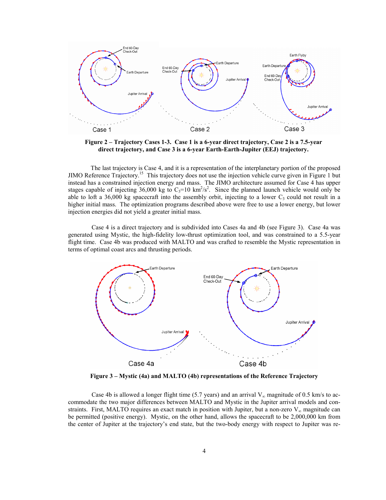

Figure 2 – Trajectory Cases 1-3. Case 1 is a 6-year direct trajectory, Case 2 is a 7.5-year direct trajectory, and Case 3 is a 6-year Earth-Earth-Jupiter (EEJ) trajectory.

The last trajectory is Case 4, and it is a representation of the interplanetary portion of the proposed JIMO Reference Trajectory.<sup>15</sup> This trajectory does not use the injection vehicle curve given in Figure 1 but instead has a constrained injection energy and mass. The JIMO architecture assumed for Case 4 has upper stages capable of injecting 36,000 kg to  $C_3$ =10 km<sup>2</sup>/s<sup>2</sup>. Since the planned launch vehicle would only be able to loft a 36,000 kg spacecraft into the assembly orbit, injecting to a lower  $C_3$  could not result in a higher initial mass. The optimization programs described above were free to use a lower energy, but lower injection energies did not yield a greater initial mass.

Case 4 is a direct trajectory and is subdivided into Cases 4a and 4b (see Figure 3). Case 4a was generated using Mystic, the high-fidelity low-thrust optimization tool, and was constrained to a 5.5-year flight time. Case 4b was produced with MALTO and was crafted to resemble the Mystic representation in terms of optimal coast arcs and thrusting periods.



Figure 3 – Mystic (4a) and MALTO (4b) representations of the Reference Trajectory

Case 4b is allowed a longer flight time (5.7 years) and an arrival  $V_{\infty}$  magnitude of 0.5 km/s to accommodate the two major differences between MALTO and Mystic in the Jupiter arrival models and constraints. First, MALTO requires an exact match in position with Jupiter, but a non-zero  $V_{\infty}$  magnitude can be permitted (positive energy). Mystic, on the other hand, allows the spacecraft to be 2,000,000 km from the center of Jupiter at the trajectory's end state, but the two-body energy with respect to Jupiter was re-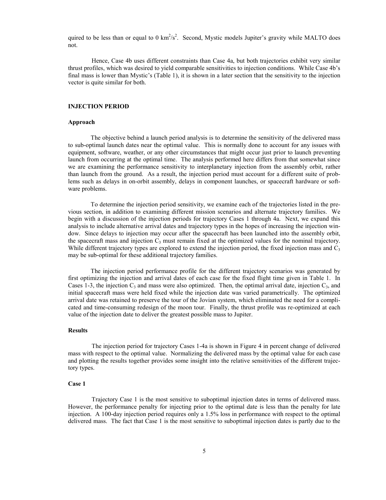quired to be less than or equal to 0  $km^2/s^2$ . Second, Mystic models Jupiter's gravity while MALTO does not.

Hence, Case 4b uses different constraints than Case 4a, but both trajectories exhibit very similar thrust profiles, which was desired to yield comparable sensitivities to injection conditions. While Case 4b's final mass is lower than Mystic's (Table 1), it is shown in a later section that the sensitivity to the injection vector is quite similar for both.

#### INJECTION PERIOD

#### Approach

The objective behind a launch period analysis is to determine the sensitivity of the delivered mass to sub-optimal launch dates near the optimal value. This is normally done to account for any issues with equipment, software, weather, or any other circumstances that might occur just prior to launch preventing launch from occurring at the optimal time. The analysis performed here differs from that somewhat since we are examining the performance sensitivity to interplanetary injection from the assembly orbit, rather than launch from the ground. As a result, the injection period must account for a different suite of problems such as delays in on-orbit assembly, delays in component launches, or spacecraft hardware or software problems.

To determine the injection period sensitivity, we examine each of the trajectories listed in the previous section, in addition to examining different mission scenarios and alternate trajectory families. We begin with a discussion of the injection periods for trajectory Cases 1 through 4a. Next, we expand this analysis to include alternative arrival dates and trajectory types in the hopes of increasing the injection window. Since delays to injection may occur after the spacecraft has been launched into the assembly orbit, the spacecraft mass and injection  $C_3$  must remain fixed at the optimized values for the nominal trajectory. While different trajectory types are explored to extend the injection period, the fixed injection mass and  $C_3$ may be sub-optimal for these additional trajectory families.

The injection period performance profile for the different trajectory scenarios was generated by first optimizing the injection and arrival dates of each case for the fixed flight time given in Table 1. In Cases 1-3, the injection  $C_3$  and mass were also optimized. Then, the optimal arrival date, injection  $C_3$ , and initial spacecraft mass were held fixed while the injection date was varied parametrically. The optimized arrival date was retained to preserve the tour of the Jovian system, which eliminated the need for a complicated and time-consuming redesign of the moon tour. Finally, the thrust profile was re-optimized at each value of the injection date to deliver the greatest possible mass to Jupiter.

#### **Results**

The injection period for trajectory Cases 1-4a is shown in Figure 4 in percent change of delivered mass with respect to the optimal value. Normalizing the delivered mass by the optimal value for each case and plotting the results together provides some insight into the relative sensitivities of the different trajectory types.

#### Case 1

Trajectory Case 1 is the most sensitive to suboptimal injection dates in terms of delivered mass. However, the performance penalty for injecting prior to the optimal date is less than the penalty for late injection. A 100-day injection period requires only a 1.5% loss in performance with respect to the optimal delivered mass. The fact that Case 1 is the most sensitive to suboptimal injection dates is partly due to the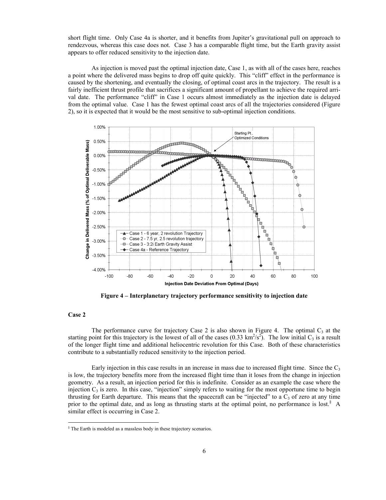short flight time. Only Case 4a is shorter, and it benefits from Jupiter's gravitational pull on approach to rendezvous, whereas this case does not. Case 3 has a comparable flight time, but the Earth gravity assist appears to offer reduced sensitivity to the injection date.

As injection is moved past the optimal injection date, Case 1, as with all of the cases here, reaches a point where the delivered mass begins to drop off quite quickly. This "cliff" effect in the performance is caused by the shortening, and eventually the closing, of optimal coast arcs in the trajectory. The result is a fairly inefficient thrust profile that sacrifices a significant amount of propellant to achieve the required arrival date. The performance "cliff" in Case 1 occurs almost immediately as the injection date is delayed from the optimal value. Case 1 has the fewest optimal coast arcs of all the trajectories considered (Figure 2), so it is expected that it would be the most sensitive to sub-optimal injection conditions.



Figure 4 – Interplanetary trajectory performance sensitivity to injection date

#### Case 2

j

The performance curve for trajectory Case 2 is also shown in Figure 4. The optimal  $C_3$  at the starting point for this trajectory is the lowest of all of the cases  $(0.33 \text{ km}^2/\text{s}^2)$ . The low initial C<sub>3</sub> is a result of the longer flight time and additional heliocentric revolution for this Case. Both of these characteristics contribute to a substantially reduced sensitivity to the injection period.

Early injection in this case results in an increase in mass due to increased flight time. Since the  $C_3$ is low, the trajectory benefits more from the increased flight time than it loses from the change in injection geometry. As a result, an injection period for this is indefinite. Consider as an example the case where the injection  $C_3$  is zero. In this case, "injection" simply refers to waiting for the most opportune time to begin thrusting for Earth departure. This means that the spacecraft can be "injected" to a  $C_3$  of zero at any time prior to the optimal date, and as long as thrusting starts at the optimal point, no performance is lost.<sup>§</sup> A similar effect is occurring in Case 2.

<sup>§</sup> The Earth is modeled as a massless body in these trajectory scenarios.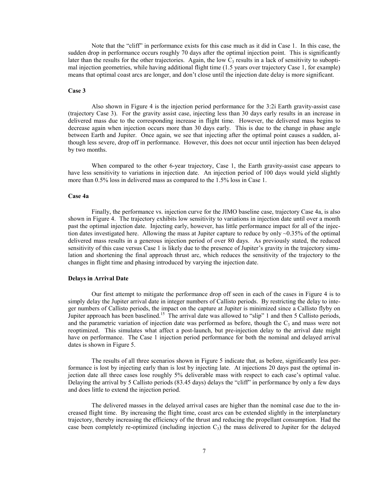Note that the "cliff" in performance exists for this case much as it did in Case 1. In this case, the sudden drop in performance occurs roughly 70 days after the optimal injection point. This is significantly later than the results for the other trajectories. Again, the low  $C_3$  results in a lack of sensitivity to suboptimal injection geometries, while having additional flight time (1.5 years over trajectory Case 1, for example) means that optimal coast arcs are longer, and don't close until the injection date delay is more significant.

#### Case 3

Also shown in Figure 4 is the injection period performance for the 3:2i Earth gravity-assist case (trajectory Case 3). For the gravity assist case, injecting less than 30 days early results in an increase in delivered mass due to the corresponding increase in flight time. However, the delivered mass begins to decrease again when injection occurs more than 30 days early. This is due to the change in phase angle between Earth and Jupiter. Once again, we see that injecting after the optimal point causes a sudden, although less severe, drop off in performance. However, this does not occur until injection has been delayed by two months.

When compared to the other 6-year trajectory, Case 1, the Earth gravity-assist case appears to have less sensitivity to variations in injection date. An injection period of 100 days would yield slightly more than 0.5% loss in delivered mass as compared to the 1.5% loss in Case 1.

#### Case 4a

Finally, the performance vs. injection curve for the JIMO baseline case, trajectory Case 4a, is also shown in Figure 4. The trajectory exhibits low sensitivity to variations in injection date until over a month past the optimal injection date. Injecting early, however, has little performance impact for all of the injection dates investigated here. Allowing the mass at Jupiter capture to reduce by only ~0.35% of the optimal delivered mass results in a generous injection period of over 80 days. As previously stated, the reduced sensitivity of this case versus Case 1 is likely due to the presence of Jupiter's gravity in the trajectory simulation and shortening the final approach thrust arc, which reduces the sensitivity of the trajectory to the changes in flight time and phasing introduced by varying the injection date.

#### Delays in Arrival Date

Our first attempt to mitigate the performance drop off seen in each of the cases in Figure 4 is to simply delay the Jupiter arrival date in integer numbers of Callisto periods. By restricting the delay to integer numbers of Callisto periods, the impact on the capture at Jupiter is minimized since a Callisto flyby on Jupiter approach has been baselined.<sup>15</sup> The arrival date was allowed to "slip" 1 and then 5 Callisto periods, and the parametric variation of injection date was performed as before, though the  $C_3$  and mass were not reoptimized. This simulates what affect a post-launch, but pre-injection delay to the arrival date might have on performance. The Case 1 injection period performance for both the nominal and delayed arrival dates is shown in Figure 5.

The results of all three scenarios shown in Figure 5 indicate that, as before, significantly less performance is lost by injecting early than is lost by injecting late. At injections 20 days past the optimal injection date all three cases lose roughly 5% deliverable mass with respect to each case's optimal value. Delaying the arrival by 5 Callisto periods (83.45 days) delays the "cliff" in performance by only a few days and does little to extend the injection period.

The delivered masses in the delayed arrival cases are higher than the nominal case due to the increased flight time. By increasing the flight time, coast arcs can be extended slightly in the interplanetary trajectory, thereby increasing the efficiency of the thrust and reducing the propellant consumption. Had the case been completely re-optimized (including injection  $C_3$ ) the mass delivered to Jupiter for the delayed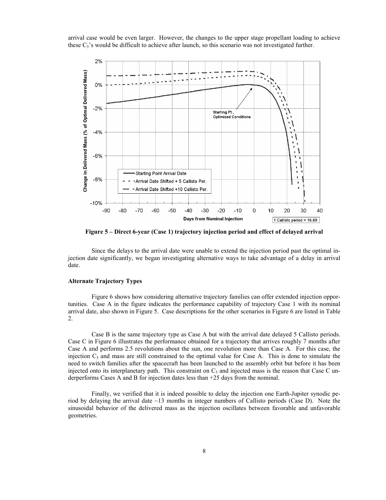arrival case would be even larger. However, the changes to the upper stage propellant loading to achieve these  $C_3$ 's would be difficult to achieve after launch, so this scenario was not investigated further.



Figure 5 – Direct 6-year (Case 1) trajectory injection period and effect of delayed arrival

Since the delays to the arrival date were unable to extend the injection period past the optimal injection date significantly, we began investigating alternative ways to take advantage of a delay in arrival date.

#### Alternate Trajectory Types

Figure 6 shows how considering alternative trajectory families can offer extended injection opportunities. Case A in the figure indicates the performance capability of trajectory Case 1 with its nominal arrival date, also shown in Figure 5. Case descriptions for the other scenarios in Figure 6 are listed in Table 2.

Case B is the same trajectory type as Case A but with the arrival date delayed 5 Callisto periods. Case C in Figure 6 illustrates the performance obtained for a trajectory that arrives roughly 7 months after Case A and performs 2.5 revolutions about the sun, one revolution more than Case A. For this case, the injection  $C_3$  and mass are still constrained to the optimal value for Case A. This is done to simulate the need to switch families after the spacecraft has been launched to the assembly orbit but before it has been injected onto its interplanetary path. This constraint on  $C_3$  and injected mass is the reason that Case C underperforms Cases A and B for injection dates less than +25 days from the nominal.

Finally, we verified that it is indeed possible to delay the injection one Earth-Jupiter synodic period by delaying the arrival date  $\sim$ 13 months in integer numbers of Callisto periods (Case D). Note the sinusoidal behavior of the delivered mass as the injection oscillates between favorable and unfavorable geometries.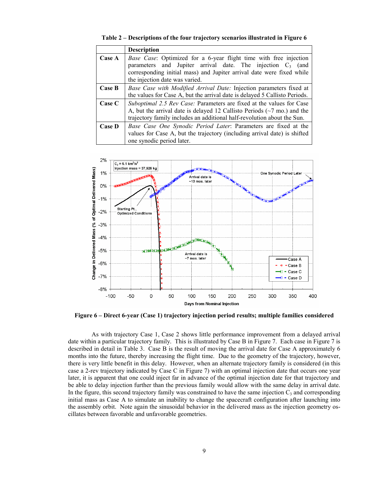|               | <b>Description</b>                                                                                                                                                                                                                            |
|---------------|-----------------------------------------------------------------------------------------------------------------------------------------------------------------------------------------------------------------------------------------------|
| Case A        | Base Case: Optimized for a 6-year flight time with free injection<br>parameters and Jupiter arrival date. The injection $C_3$ (and<br>corresponding initial mass) and Jupiter arrival date were fixed while<br>the injection date was varied. |
| Case B        | Base Case with Modified Arrival Date: Injection parameters fixed at<br>the values for Case A, but the arrival date is delayed 5 Callisto Periods.                                                                                             |
| Case C        | Suboptimal 2.5 Rev Case: Parameters are fixed at the values for Case<br>A, but the arrival date is delayed 12 Callisto Periods $(\sim 7 \text{ mo.})$ and the<br>trajectory family includes an additional half-revolution about the Sun.      |
| <b>Case D</b> | Base Case One Synodic Period Later: Parameters are fixed at the<br>values for Case A, but the trajectory (including arrival date) is shifted<br>one synodic period later.                                                                     |

Table 2 – Descriptions of the four trajectory scenarios illustrated in Figure 6



Figure 6 – Direct 6-year (Case 1) trajectory injection period results; multiple families considered

As with trajectory Case 1, Case 2 shows little performance improvement from a delayed arrival date within a particular trajectory family. This is illustrated by Case B in Figure 7. Each case in Figure 7 is described in detail in Table 3. Case B is the result of moving the arrival date for Case A approximately 6 months into the future, thereby increasing the flight time. Due to the geometry of the trajectory, however, there is very little benefit in this delay. However, when an alternate trajectory family is considered (in this case a 2-rev trajectory indicated by Case C in Figure 7) with an optimal injection date that occurs one year later, it is apparent that one could inject far in advance of the optimal injection date for that trajectory and be able to delay injection further than the previous family would allow with the same delay in arrival date. In the figure, this second trajectory family was constrained to have the same injection  $C_3$  and corresponding initial mass as Case A to simulate an inability to change the spacecraft configuration after launching into the assembly orbit. Note again the sinusoidal behavior in the delivered mass as the injection geometry oscillates between favorable and unfavorable geometries.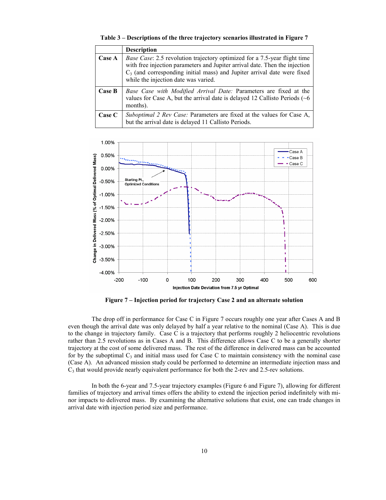|  |  |  |  |  | Table 3 – Descriptions of the three trajectory scenarios illustrated in Figure 7 |  |
|--|--|--|--|--|----------------------------------------------------------------------------------|--|
|--|--|--|--|--|----------------------------------------------------------------------------------|--|

|        | <b>Description</b>                                                                                                                                                                                                                                                                    |
|--------|---------------------------------------------------------------------------------------------------------------------------------------------------------------------------------------------------------------------------------------------------------------------------------------|
| Case A | <i>Base Case:</i> 2.5 revolution trajectory optimized for a 7.5-year flight time<br>with free injection parameters and Jupiter arrival date. Then the injection<br>$C_3$ (and corresponding initial mass) and Jupiter arrival date were fixed<br>while the injection date was varied. |
| Case B | Base Case with Modified Arrival Date: Parameters are fixed at the<br>values for Case A, but the arrival date is delayed 12 Callisto Periods $(66)$<br>months).                                                                                                                        |
| Case C | Suboptimal 2 Rev Case: Parameters are fixed at the values for Case A,<br>but the arrival date is delayed 11 Callisto Periods.                                                                                                                                                         |



Figure 7 – Injection period for trajectory Case 2 and an alternate solution

The drop off in performance for Case C in Figure 7 occurs roughly one year after Cases A and B even though the arrival date was only delayed by half a year relative to the nominal (Case A). This is due to the change in trajectory family. Case C is a trajectory that performs roughly 2 heliocentric revolutions rather than 2.5 revolutions as in Cases A and B. This difference allows Case C to be a generally shorter trajectory at the cost of some delivered mass. The rest of the difference in delivered mass can be accounted for by the suboptimal  $C_3$  and initial mass used for Case C to maintain consistency with the nominal case (Case A). An advanced mission study could be performed to determine an intermediate injection mass and  $C_3$  that would provide nearly equivalent performance for both the 2-rev and 2.5-rev solutions.

In both the 6-year and 7.5-year trajectory examples (Figure 6 and Figure 7), allowing for different families of trajectory and arrival times offers the ability to extend the injection period indefinitely with minor impacts to delivered mass. By examining the alternative solutions that exist, one can trade changes in arrival date with injection period size and performance.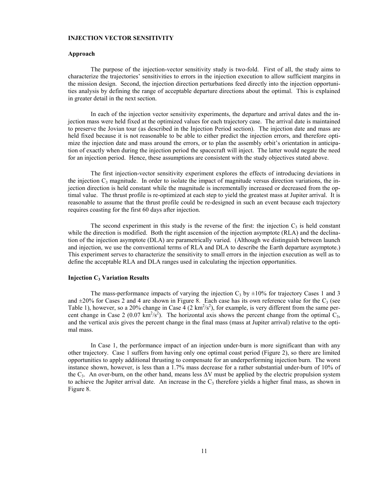#### INJECTION VECTOR SENSITIVITY

#### Approach

The purpose of the injection-vector sensitivity study is two-fold. First of all, the study aims to characterize the trajectories' sensitivities to errors in the injection execution to allow sufficient margins in the mission design. Second, the injection direction perturbations feed directly into the injection opportunities analysis by defining the range of acceptable departure directions about the optimal. This is explained in greater detail in the next section.

In each of the injection vector sensitivity experiments, the departure and arrival dates and the injection mass were held fixed at the optimized values for each trajectory case. The arrival date is maintained to preserve the Jovian tour (as described in the Injection Period section). The injection date and mass are held fixed because it is not reasonable to be able to either predict the injection errors, and therefore optimize the injection date and mass around the errors, or to plan the assembly orbit's orientation in anticipation of exactly when during the injection period the spacecraft will inject. The latter would negate the need for an injection period. Hence, these assumptions are consistent with the study objectives stated above.

The first injection-vector sensitivity experiment explores the effects of introducing deviations in the injection  $C_3$  magnitude. In order to isolate the impact of magnitude versus direction variations, the injection direction is held constant while the magnitude is incrementally increased or decreased from the optimal value. The thrust profile is re-optimized at each step to yield the greatest mass at Jupiter arrival. It is reasonable to assume that the thrust profile could be re-designed in such an event because each trajectory requires coasting for the first 60 days after injection.

The second experiment in this study is the reverse of the first: the injection  $C_3$  is held constant while the direction is modified. Both the right ascension of the injection asymptote (RLA) and the declination of the injection asymptote (DLA) are parametrically varied. (Although we distinguish between launch and injection, we use the conventional terms of RLA and DLA to describe the Earth departure asymptote.) This experiment serves to characterize the sensitivity to small errors in the injection execution as well as to define the acceptable RLA and DLA ranges used in calculating the injection opportunities.

#### Injection  $C_3$  Variation Results

The mass-performance impacts of varying the injection  $C_3$  by  $\pm 10\%$  for trajectory Cases 1 and 3 and  $\pm 20\%$  for Cases 2 and 4 are shown in Figure 8. Each case has its own reference value for the C<sub>3</sub> (see Table 1), however, so a 20% change in Case  $\frac{4}{2}$  (2 km<sup>2</sup>/s<sup>2</sup>), for example, is very different from the same percent change in Case 2 (0.07 km<sup>2</sup>/s<sup>2</sup>). The horizontal axis shows the percent change from the optimal  $C_3$ , and the vertical axis gives the percent change in the final mass (mass at Jupiter arrival) relative to the optimal mass.

In Case 1, the performance impact of an injection under-burn is more significant than with any other trajectory. Case 1 suffers from having only one optimal coast period (Figure 2), so there are limited opportunities to apply additional thrusting to compensate for an underperforming injection burn. The worst instance shown, however, is less than a 1.7% mass decrease for a rather substantial under-burn of 10% of the C<sub>3</sub>. An over-burn, on the other hand, means less  $\Delta V$  must be applied by the electric propulsion system to achieve the Jupiter arrival date. An increase in the  $C_3$  therefore yields a higher final mass, as shown in Figure 8.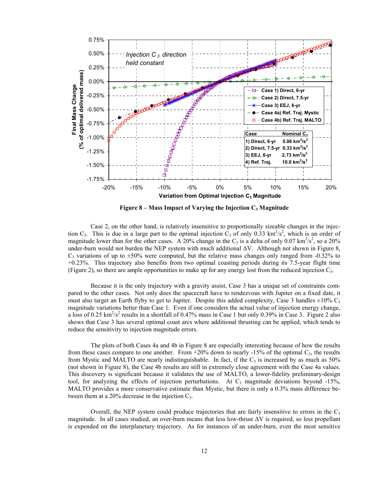

Figure 8 – Mass Impact of Varying the Injection  $C_3$  Magnitude

Case 2, on the other hand, is relatively insensitive to proportionally sizeable changes in the injection C<sub>3</sub>. This is due in a large part to the optimal injection  $C_3$  of only 0.33 km<sup>2</sup>/s<sup>2</sup>, which is an order of magnitude lower than for the other cases. A 20% change in the C<sub>3</sub> is a delta of only 0.07 km<sup>2</sup>/s<sup>2</sup>, so a 20% under-burn would not burden the NEP system with much additional ∆V. Although not shown in Figure 8,  $C_3$  variations of up to  $\pm 50\%$  were computed, but the relative mass changes only ranged from -0.32% to +0.23%. This trajectory also benefits from two optimal coasting periods during its 7.5-year flight time (Figure 2), so there are ample opportunities to make up for any energy lost from the reduced injection  $C_3$ .

Because it is the only trajectory with a gravity assist, Case 3 has a unique set of constraints compared to the other cases. Not only does the spacecraft have to rendezvous with Jupiter on a fixed date, it must also target an Earth flyby to get to Jupiter. Despite this added complexity, Case 3 handles  $\pm 10\%$  C<sub>3</sub> magnitude variations better than Case 1. Even if one considers the actual value of injection energy change, a loss of 0.25  $\text{km}^2/\text{s}^2$  results in a shortfall of 0.47% mass in Case 1 but only 0.39% in Case 3. Figure 2 also shows that Case 3 has several optimal coast arcs where additional thrusting can be applied, which tends to reduce the sensitivity to injection magnitude errors.

The plots of both Cases 4a and 4b in Figure 8 are especially interesting because of how the results from these cases compare to one another. From  $+20\%$  down to nearly -15% of the optimal  $C_3$ , the results from Mystic and MALTO are nearly indistinguishable. In fact, if the  $C_3$  is increased by as much as 50% (not shown in Figure 8), the Case 4b results are still in extremely close agreement with the Case 4a values. This discovery is significant because it validates the use of MALTO, a lower-fidelity preliminary-design tool, for analyzing the effects of injection perturbations. At  $C_3$  magnitude deviations beyond -15%, MALTO provides a more conservative estimate than Mystic, but there is only a 0.3% mass difference between them at a 20% decrease in the injection  $C_3$ .

Overall, the NEP system could produce trajectories that are fairly insensitive to errors in the  $C_3$ magnitude. In all cases studied, an over-burn means that less low-thrust ∆V is required, so less propellant is expended on the interplanetary trajectory. As for instances of an under-burn, even the most sensitive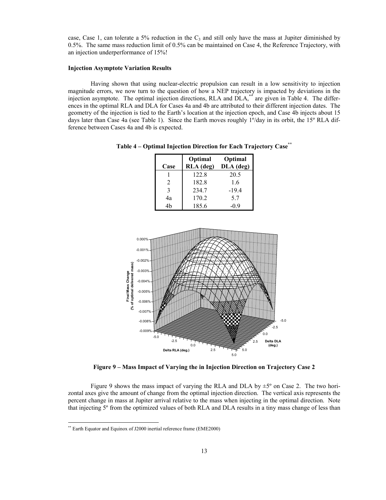case, Case 1, can tolerate a 5% reduction in the  $C_3$  and still only have the mass at Jupiter diminished by 0.5%. The same mass reduction limit of 0.5% can be maintained on Case 4, the Reference Trajectory, with an injection underperformance of 15%!

#### Injection Asymptote Variation Results

Having shown that using nuclear-electric propulsion can result in a low sensitivity to injection magnitude errors, we now turn to the question of how a NEP trajectory is impacted by deviations in the injection asymptote. The optimal injection directions, RLA and DLA,\*\* are given in Table 4. The differences in the optimal RLA and DLA for Cases 4a and 4b are attributed to their different injection dates. The geometry of the injection is tied to the Earth's location at the injection epoch, and Case 4b injects about 15 days later than Case 4a (see Table 1). Since the Earth moves roughly 1º/day in its orbit, the 15º RLA difference between Cases 4a and 4b is expected.

| Case           | Optimal<br>RLA (deg) | Optimal<br>DLA (deg) |
|----------------|----------------------|----------------------|
|                | 122.8                | 20.5                 |
| 2              | 182.8                | 1.6                  |
| 3              | 234.7                | $-19.4$              |
| 4a             | 170.2                | 5.7                  |
| 4 <sub>h</sub> | 185.6                | $-0.9$               |

Table 4 – Optimal Injection Direction for Each Trajectory Case\*\*



Figure 9 – Mass Impact of Varying the in Injection Direction on Trajectory Case 2

Figure 9 shows the mass impact of varying the RLA and DLA by  $\pm$ 5<sup>o</sup> on Case 2. The two horizontal axes give the amount of change from the optimal injection direction. The vertical axis represents the percent change in mass at Jupiter arrival relative to the mass when injecting in the optimal direction. Note that injecting 5º from the optimized values of both RLA and DLA results in a tiny mass change of less than

 $\overline{a}$ 

<sup>\*\*</sup> Earth Equator and Equinox of J2000 inertial reference frame (EME2000)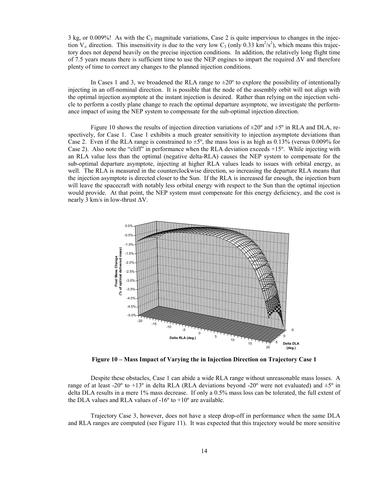3 kg, or 0.009%! As with the  $C_3$  magnitude variations, Case 2 is quite impervious to changes in the injection  $V_{\infty}$  direction. This insensitivity is due to the very low C<sub>3</sub> (only 0.33 km<sup>2</sup>/s<sup>2</sup>), which means this trajectory does not depend heavily on the precise injection conditions. In addition, the relatively long flight time of 7.5 years means there is sufficient time to use the NEP engines to impart the required ∆V and therefore plenty of time to correct any changes to the planned injection conditions.

In Cases 1 and 3, we broadened the RLA range to  $\pm 20^{\circ}$  to explore the possibility of intentionally injecting in an off-nominal direction. It is possible that the node of the assembly orbit will not align with the optimal injection asymptote at the instant injection is desired. Rather than relying on the injection vehicle to perform a costly plane change to reach the optimal departure asymptote, we investigate the performance impact of using the NEP system to compensate for the sub-optimal injection direction.

Figure 10 shows the results of injection direction variations of  $\pm 20^{\circ}$  and  $\pm 5^{\circ}$  in RLA and DLA, respectively, for Case 1. Case 1 exhibits a much greater sensitivity to injection asymptote deviations than Case 2. Even if the RLA range is constrained to  $\pm 5^{\circ}$ , the mass loss is as high as 0.13% (versus 0.009% for Case 2). Also note the "cliff" in performance when the RLA deviation exceeds +15º. While injecting with an RLA value less than the optimal (negative delta-RLA) causes the NEP system to compensate for the sub-optimal departure asymptote, injecting at higher RLA values leads to issues with orbital energy, as well. The RLA is measured in the counterclockwise direction, so increasing the departure RLA means that the injection asymptote is directed closer to the Sun. If the RLA is increased far enough, the injection burn will leave the spacecraft with notably less orbital energy with respect to the Sun than the optimal injection would provide. At that point, the NEP system must compensate for this energy deficiency, and the cost is nearly 3 km/s in low-thrust  $\Delta V$ .



Figure 10 – Mass Impact of Varying the in Injection Direction on Trajectory Case 1

Despite these obstacles, Case 1 can abide a wide RLA range without unreasonable mass losses. A range of at least -20° to +13° in delta RLA (RLA deviations beyond -20° were not evaluated) and  $\pm 5$ ° in delta DLA results in a mere 1% mass decrease. If only a 0.5% mass loss can be tolerated, the full extent of the DLA values and RLA values of  $-16^{\circ}$  to  $+10^{\circ}$  are available.

Trajectory Case 3, however, does not have a steep drop-off in performance when the same DLA and RLA ranges are computed (see Figure 11). It was expected that this trajectory would be more sensitive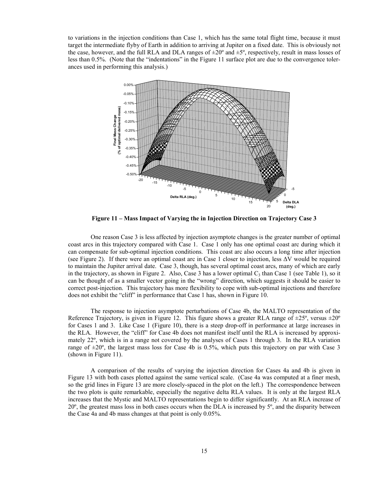to variations in the injection conditions than Case 1, which has the same total flight time, because it must target the intermediate flyby of Earth in addition to arriving at Jupiter on a fixed date. This is obviously not the case, however, and the full RLA and DLA ranges of  $\pm 20^\circ$  and  $\pm 5^\circ$ , respectively, result in mass losses of less than 0.5%. (Note that the "indentations" in the Figure 11 surface plot are due to the convergence tolerances used in performing this analysis.)



Figure 11 – Mass Impact of Varying the in Injection Direction on Trajectory Case 3

One reason Case 3 is less affected by injection asymptote changes is the greater number of optimal coast arcs in this trajectory compared with Case 1. Case 1 only has one optimal coast arc during which it can compensate for sub-optimal injection conditions. This coast arc also occurs a long time after injection (see Figure 2). If there were an optimal coast arc in Case 1 closer to injection, less ∆V would be required to maintain the Jupiter arrival date. Case 3, though, has several optimal coast arcs, many of which are early in the trajectory, as shown in Figure 2. Also, Case 3 has a lower optimal  $C_3$  than Case 1 (see Table 1), so it can be thought of as a smaller vector going in the "wrong" direction, which suggests it should be easier to correct post-injection. This trajectory has more flexibility to cope with sub-optimal injections and therefore does not exhibit the "cliff" in performance that Case 1 has, shown in Figure 10.

The response to injection asymptote perturbations of Case 4b, the MALTO representation of the Reference Trajectory, is given in Figure 12. This figure shows a greater RLA range of  $\pm 25^{\circ}$ , versus  $\pm 20^{\circ}$ for Cases 1 and 3. Like Case 1 (Figure 10), there is a steep drop-off in performance at large increases in the RLA. However, the "cliff" for Case 4b does not manifest itself until the RLA is increased by approximately 22º, which is in a range not covered by the analyses of Cases 1 through 3. In the RLA variation range of  $\pm 20^\circ$ , the largest mass loss for Case 4b is 0.5%, which puts this trajectory on par with Case 3 (shown in Figure 11).

A comparison of the results of varying the injection direction for Cases 4a and 4b is given in Figure 13 with both cases plotted against the same vertical scale. (Case 4a was computed at a finer mesh, so the grid lines in Figure 13 are more closely-spaced in the plot on the left.) The correspondence between the two plots is quite remarkable, especially the negative delta RLA values. It is only at the largest RLA increases that the Mystic and MALTO representations begin to differ significantly. At an RLA increase of 20º, the greatest mass loss in both cases occurs when the DLA is increased by 5º, and the disparity between the Case 4a and 4b mass changes at that point is only 0.05%.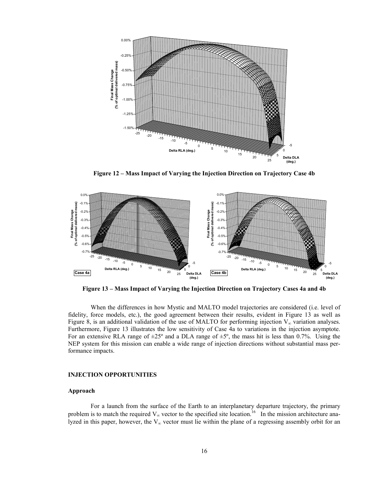

Figure 12 – Mass Impact of Varying the Injection Direction on Trajectory Case 4b



Figure 13 – Mass Impact of Varying the Injection Direction on Trajectory Cases 4a and 4b

When the differences in how Mystic and MALTO model trajectories are considered (i.e. level of fidelity, force models, etc.), the good agreement between their results, evident in Figure 13 as well as Figure 8, is an additional validation of the use of MALTO for performing injection  $V_{\infty}$  variation analyses. Furthermore, Figure 13 illustrates the low sensitivity of Case 4a to variations in the injection asymptote. For an extensive RLA range of  $\pm 25^{\circ}$  and a DLA range of  $\pm 5^{\circ}$ , the mass hit is less than 0.7%. Using the NEP system for this mission can enable a wide range of injection directions without substantial mass performance impacts.

#### INJECTION OPPORTUNITIES

#### Approach

For a launch from the surface of the Earth to an interplanetary departure trajectory, the primary problem is to match the required  $V_{\infty}$  vector to the specified site location.<sup>16</sup> In the mission architecture analyzed in this paper, however, the  $V_{\infty}$  vector must lie within the plane of a regressing assembly orbit for an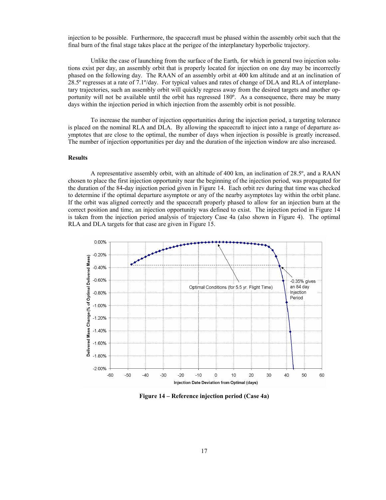injection to be possible. Furthermore, the spacecraft must be phased within the assembly orbit such that the final burn of the final stage takes place at the perigee of the interplanetary hyperbolic trajectory.

Unlike the case of launching from the surface of the Earth, for which in general two injection solutions exist per day, an assembly orbit that is properly located for injection on one day may be incorrectly phased on the following day. The RAAN of an assembly orbit at 400 km altitude and at an inclination of 28.5º regresses at a rate of 7.1º/day. For typical values and rates of change of DLA and RLA of interplanetary trajectories, such an assembly orbit will quickly regress away from the desired targets and another opportunity will not be available until the orbit has regressed 180º. As a consequence, there may be many days within the injection period in which injection from the assembly orbit is not possible.

To increase the number of injection opportunities during the injection period, a targeting tolerance is placed on the nominal RLA and DLA. By allowing the spacecraft to inject into a range of departure asymptotes that are close to the optimal, the number of days when injection is possible is greatly increased. The number of injection opportunities per day and the duration of the injection window are also increased.

#### Results

A representative assembly orbit, with an altitude of 400 km, an inclination of 28.5º, and a RAAN chosen to place the first injection opportunity near the beginning of the injection period, was propagated for the duration of the 84-day injection period given in Figure 14. Each orbit rev during that time was checked to determine if the optimal departure asymptote or any of the nearby asymptotes lay within the orbit plane. If the orbit was aligned correctly and the spacecraft properly phased to allow for an injection burn at the correct position and time, an injection opportunity was defined to exist. The injection period in Figure 14 is taken from the injection period analysis of trajectory Case 4a (also shown in Figure 4). The optimal RLA and DLA targets for that case are given in Figure 15.



Figure 14 – Reference injection period (Case 4a)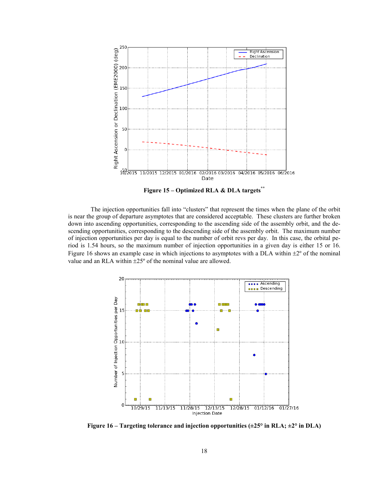

Figure  $15 - \text{Optimized RLA} \& \text{DLA targets}^{**}$ 

The injection opportunities fall into "clusters" that represent the times when the plane of the orbit is near the group of departure asymptotes that are considered acceptable. These clusters are further broken down into ascending opportunities, corresponding to the ascending side of the assembly orbit, and the descending opportunities, corresponding to the descending side of the assembly orbit. The maximum number of injection opportunities per day is equal to the number of orbit revs per day. In this case, the orbital period is 1.54 hours, so the maximum number of injection opportunities in a given day is either 15 or 16. Figure 16 shows an example case in which injections to asymptotes with a DLA within  $\pm 2^{\circ}$  of the nominal value and an RLA within ±25º of the nominal value are allowed.



Figure 16 – Targeting tolerance and injection opportunities  $(\pm 25^{\circ}$  in RLA;  $\pm 2^{\circ}$  in DLA)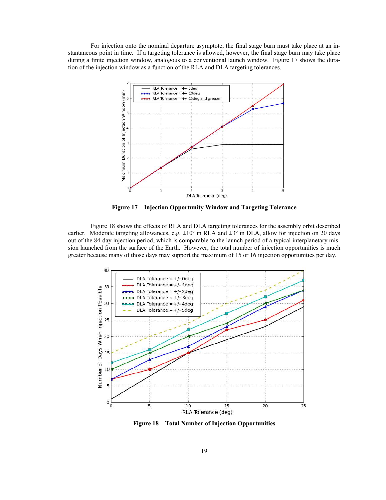For injection onto the nominal departure asymptote, the final stage burn must take place at an instantaneous point in time. If a targeting tolerance is allowed, however, the final stage burn may take place during a finite injection window, analogous to a conventional launch window. Figure 17 shows the duration of the injection window as a function of the RLA and DLA targeting tolerances.



Figure 17 – Injection Opportunity Window and Targeting Tolerance

Figure 18 shows the effects of RLA and DLA targeting tolerances for the assembly orbit described earlier. Moderate targeting allowances, e.g.  $\pm 10^{\circ}$  in RLA and  $\pm 3^{\circ}$  in DLA, allow for injection on 20 days out of the 84-day injection period, which is comparable to the launch period of a typical interplanetary mission launched from the surface of the Earth. However, the total number of injection opportunities is much greater because many of those days may support the maximum of 15 or 16 injection opportunities per day.



Figure 18 – Total Number of Injection Opportunities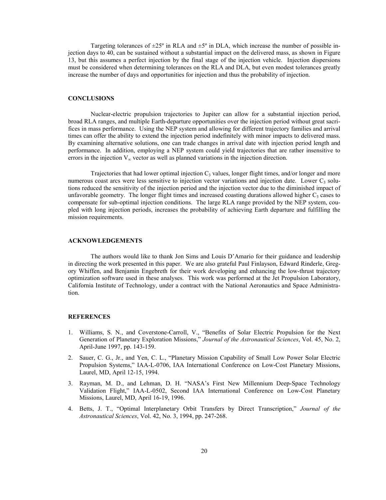Targeting tolerances of  $\pm 25^{\circ}$  in RLA and  $\pm 5^{\circ}$  in DLA, which increase the number of possible injection days to 40, can be sustained without a substantial impact on the delivered mass, as shown in Figure 13, but this assumes a perfect injection by the final stage of the injection vehicle. Injection dispersions must be considered when determining tolerances on the RLA and DLA, but even modest tolerances greatly increase the number of days and opportunities for injection and thus the probability of injection.

#### **CONCLUSIONS**

Nuclear-electric propulsion trajectories to Jupiter can allow for a substantial injection period, broad RLA ranges, and multiple Earth-departure opportunities over the injection period without great sacrifices in mass performance. Using the NEP system and allowing for different trajectory families and arrival times can offer the ability to extend the injection period indefinitely with minor impacts to delivered mass. By examining alternative solutions, one can trade changes in arrival date with injection period length and performance. In addition, employing a NEP system could yield trajectories that are rather insensitive to errors in the injection  $V_{\infty}$  vector as well as planned variations in the injection direction.

Trajectories that had lower optimal injection  $C_3$  values, longer flight times, and/or longer and more numerous coast arcs were less sensitive to injection vector variations and injection date. Lower  $C_3$  solutions reduced the sensitivity of the injection period and the injection vector due to the diminished impact of unfavorable geometry. The longer flight times and increased coasting durations allowed higher  $C_3$  cases to compensate for sub-optimal injection conditions. The large RLA range provided by the NEP system, coupled with long injection periods, increases the probability of achieving Earth departure and fulfilling the mission requirements.

#### ACKNOWLEDGEMENTS

 The authors would like to thank Jon Sims and Louis D'Amario for their guidance and leadership in directing the work presented in this paper. We are also grateful Paul Finlayson, Edward Rinderle, Gregory Whiffen, and Benjamin Engebreth for their work developing and enhancing the low-thrust trajectory optimization software used in these analyses. This work was performed at the Jet Propulsion Laboratory, California Institute of Technology, under a contract with the National Aeronautics and Space Administration.

#### **REFERENCES**

- 1. Williams, S. N., and Coverstone-Carroll, V., "Benefits of Solar Electric Propulsion for the Next Generation of Planetary Exploration Missions," Journal of the Astronautical Sciences, Vol. 45, No. 2, April-June 1997, pp. 143-159.
- 2. Sauer, C. G., Jr., and Yen, C. L., "Planetary Mission Capability of Small Low Power Solar Electric Propulsion Systems," IAA-L-0706, IAA International Conference on Low-Cost Planetary Missions, Laurel, MD, April 12-15, 1994.
- 3. Rayman, M. D., and Lehman, D. H. "NASA's First New Millennium Deep-Space Technology Validation Flight," IAA-L-0502, Second IAA International Conference on Low-Cost Planetary Missions, Laurel, MD, April 16-19, 1996.
- 4. Betts, J. T., "Optimal Interplanetary Orbit Transfers by Direct Transcription," Journal of the Astronautical Sciences, Vol. 42, No. 3, 1994, pp. 247-268.